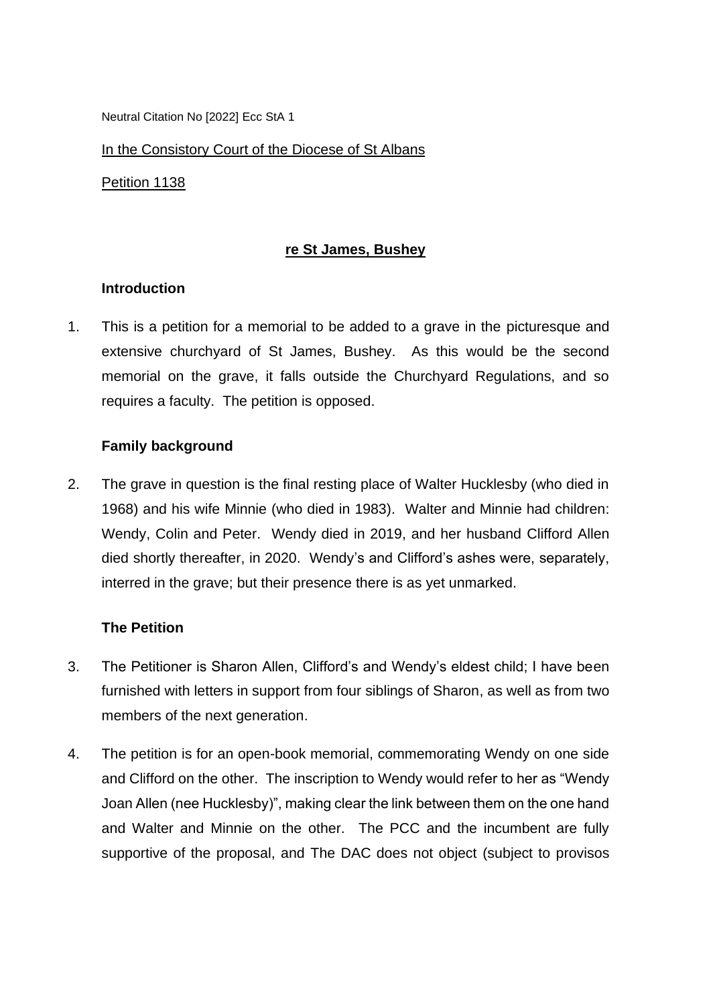Neutral Citation No [2022] Ecc StA 1

In the Consistory Court of the Diocese of St Albans

Petition 1138

### **re St James, Bushey**

## **Introduction**

1. This is a petition for a memorial to be added to a grave in the picturesque and extensive churchyard of St James, Bushey. As this would be the second memorial on the grave, it falls outside the Churchyard Regulations, and so requires a faculty. The petition is opposed.

## **Family background**

2. The grave in question is the final resting place of Walter Hucklesby (who died in 1968) and his wife Minnie (who died in 1983). Walter and Minnie had children: Wendy, Colin and Peter. Wendy died in 2019, and her husband Clifford Allen died shortly thereafter, in 2020. Wendy's and Clifford's ashes were, separately, interred in the grave; but their presence there is as yet unmarked.

#### **The Petition**

- 3. The Petitioner is Sharon Allen, Clifford's and Wendy's eldest child; I have been furnished with letters in support from four siblings of Sharon, as well as from two members of the next generation.
- 4. The petition is for an open-book memorial, commemorating Wendy on one side and Clifford on the other. The inscription to Wendy would refer to her as "Wendy Joan Allen (nee Hucklesby)", making clear the link between them on the one hand and Walter and Minnie on the other. The PCC and the incumbent are fully supportive of the proposal, and The DAC does not object (subject to provisos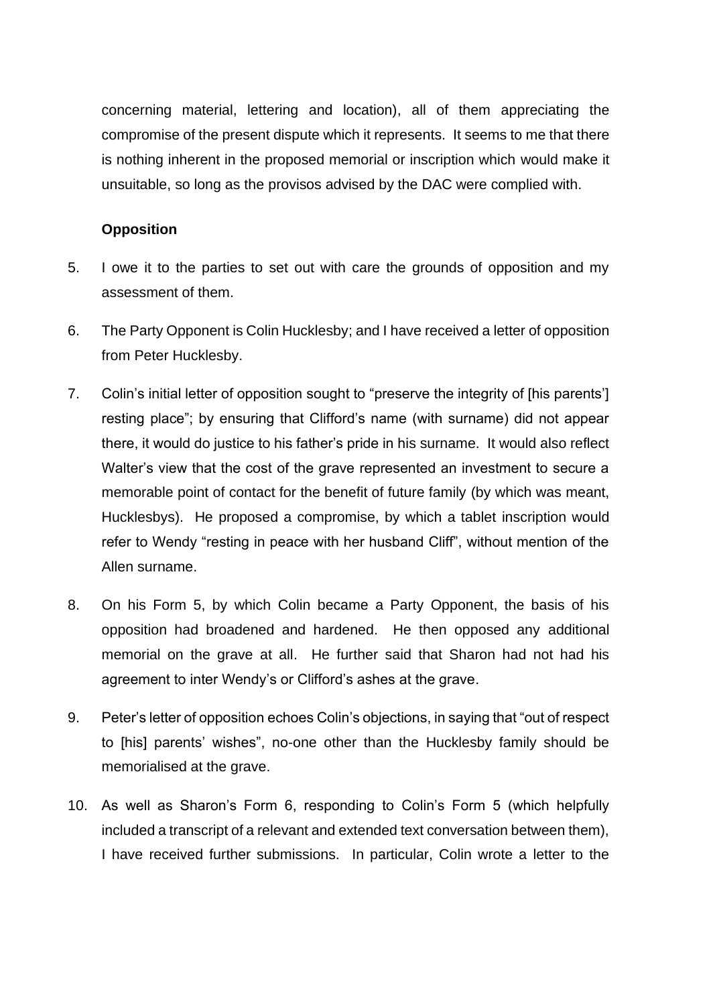concerning material, lettering and location), all of them appreciating the compromise of the present dispute which it represents. It seems to me that there is nothing inherent in the proposed memorial or inscription which would make it unsuitable, so long as the provisos advised by the DAC were complied with.

# **Opposition**

- 5. I owe it to the parties to set out with care the grounds of opposition and my assessment of them.
- 6. The Party Opponent is Colin Hucklesby; and I have received a letter of opposition from Peter Hucklesby.
- 7. Colin's initial letter of opposition sought to "preserve the integrity of [his parents'] resting place"; by ensuring that Clifford's name (with surname) did not appear there, it would do justice to his father's pride in his surname. It would also reflect Walter's view that the cost of the grave represented an investment to secure a memorable point of contact for the benefit of future family (by which was meant, Hucklesbys). He proposed a compromise, by which a tablet inscription would refer to Wendy "resting in peace with her husband Cliff", without mention of the Allen surname.
- 8. On his Form 5, by which Colin became a Party Opponent, the basis of his opposition had broadened and hardened. He then opposed any additional memorial on the grave at all. He further said that Sharon had not had his agreement to inter Wendy's or Clifford's ashes at the grave.
- 9. Peter's letter of opposition echoes Colin's objections, in saying that "out of respect to [his] parents' wishes", no-one other than the Hucklesby family should be memorialised at the grave.
- 10. As well as Sharon's Form 6, responding to Colin's Form 5 (which helpfully included a transcript of a relevant and extended text conversation between them), I have received further submissions. In particular, Colin wrote a letter to the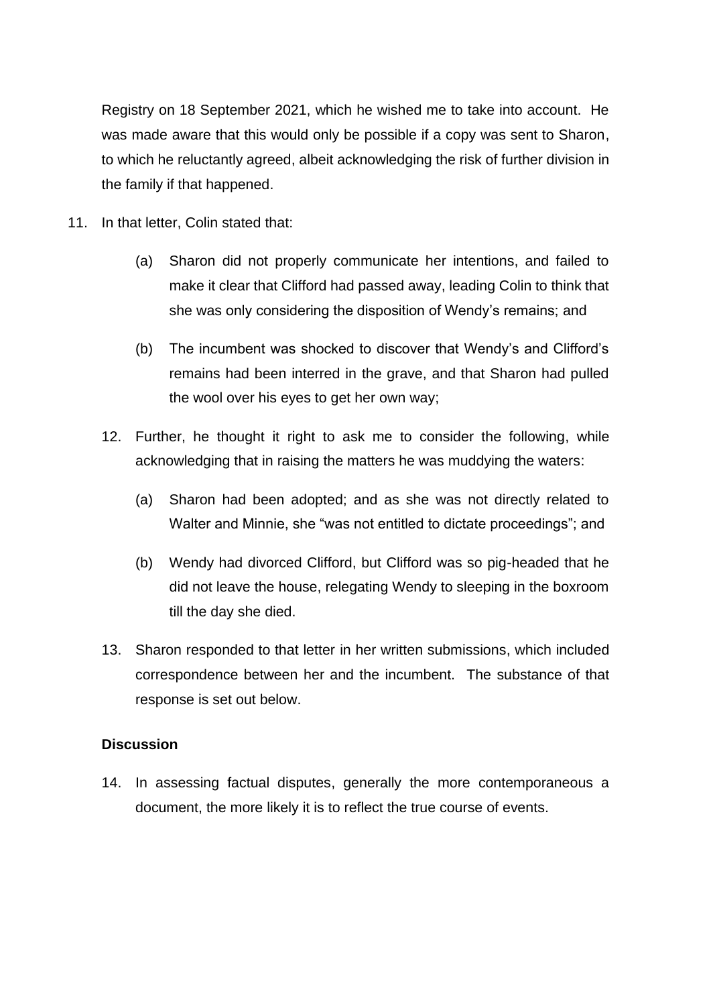Registry on 18 September 2021, which he wished me to take into account. He was made aware that this would only be possible if a copy was sent to Sharon, to which he reluctantly agreed, albeit acknowledging the risk of further division in the family if that happened.

- 11. In that letter, Colin stated that:
	- (a) Sharon did not properly communicate her intentions, and failed to make it clear that Clifford had passed away, leading Colin to think that she was only considering the disposition of Wendy's remains; and
	- (b) The incumbent was shocked to discover that Wendy's and Clifford's remains had been interred in the grave, and that Sharon had pulled the wool over his eyes to get her own way;
	- 12. Further, he thought it right to ask me to consider the following, while acknowledging that in raising the matters he was muddying the waters:
		- (a) Sharon had been adopted; and as she was not directly related to Walter and Minnie, she "was not entitled to dictate proceedings"; and
		- (b) Wendy had divorced Clifford, but Clifford was so pig-headed that he did not leave the house, relegating Wendy to sleeping in the boxroom till the day she died.
	- 13. Sharon responded to that letter in her written submissions, which included correspondence between her and the incumbent. The substance of that response is set out below.

#### **Discussion**

14. In assessing factual disputes, generally the more contemporaneous a document, the more likely it is to reflect the true course of events.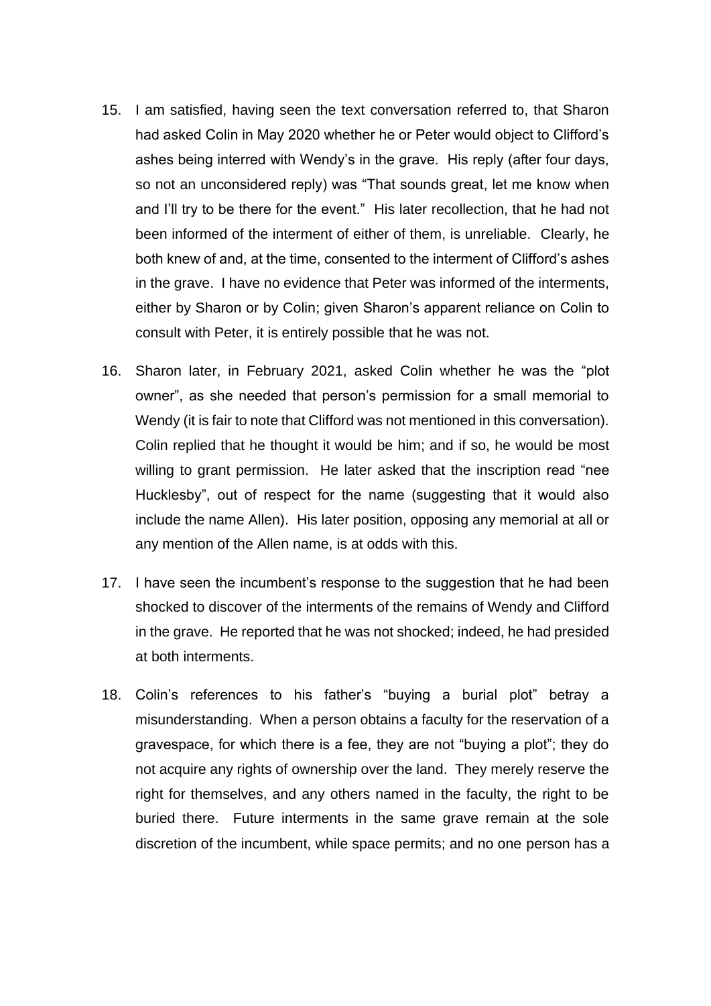- 15. I am satisfied, having seen the text conversation referred to, that Sharon had asked Colin in May 2020 whether he or Peter would object to Clifford's ashes being interred with Wendy's in the grave. His reply (after four days, so not an unconsidered reply) was "That sounds great, let me know when and I'll try to be there for the event." His later recollection, that he had not been informed of the interment of either of them, is unreliable. Clearly, he both knew of and, at the time, consented to the interment of Clifford's ashes in the grave. I have no evidence that Peter was informed of the interments, either by Sharon or by Colin; given Sharon's apparent reliance on Colin to consult with Peter, it is entirely possible that he was not.
- 16. Sharon later, in February 2021, asked Colin whether he was the "plot owner", as she needed that person's permission for a small memorial to Wendy (it is fair to note that Clifford was not mentioned in this conversation). Colin replied that he thought it would be him; and if so, he would be most willing to grant permission. He later asked that the inscription read "nee Hucklesby", out of respect for the name (suggesting that it would also include the name Allen). His later position, opposing any memorial at all or any mention of the Allen name, is at odds with this.
- 17. I have seen the incumbent's response to the suggestion that he had been shocked to discover of the interments of the remains of Wendy and Clifford in the grave. He reported that he was not shocked; indeed, he had presided at both interments.
- 18. Colin's references to his father's "buying a burial plot" betray a misunderstanding. When a person obtains a faculty for the reservation of a gravespace, for which there is a fee, they are not "buying a plot"; they do not acquire any rights of ownership over the land. They merely reserve the right for themselves, and any others named in the faculty, the right to be buried there. Future interments in the same grave remain at the sole discretion of the incumbent, while space permits; and no one person has a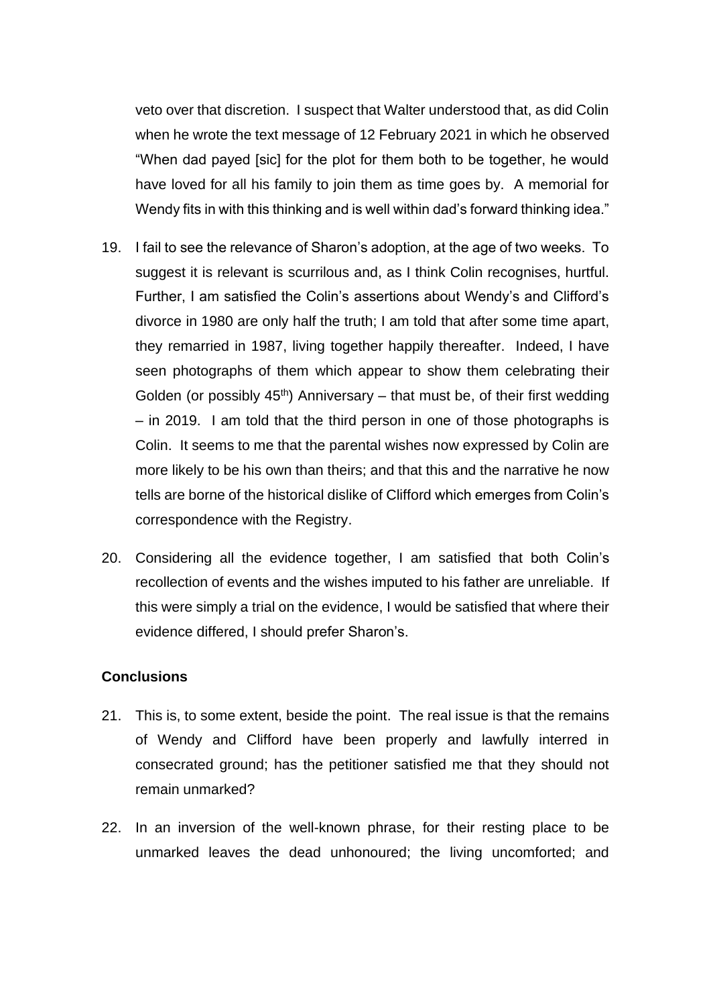veto over that discretion. I suspect that Walter understood that, as did Colin when he wrote the text message of 12 February 2021 in which he observed "When dad payed [sic] for the plot for them both to be together, he would have loved for all his family to join them as time goes by. A memorial for Wendy fits in with this thinking and is well within dad's forward thinking idea."

- 19. I fail to see the relevance of Sharon's adoption, at the age of two weeks. To suggest it is relevant is scurrilous and, as I think Colin recognises, hurtful. Further, I am satisfied the Colin's assertions about Wendy's and Clifford's divorce in 1980 are only half the truth; I am told that after some time apart, they remarried in 1987, living together happily thereafter. Indeed, I have seen photographs of them which appear to show them celebrating their Golden (or possibly  $45<sup>th</sup>$ ) Anniversary – that must be, of their first wedding – in 2019. I am told that the third person in one of those photographs is Colin. It seems to me that the parental wishes now expressed by Colin are more likely to be his own than theirs; and that this and the narrative he now tells are borne of the historical dislike of Clifford which emerges from Colin's correspondence with the Registry.
- 20. Considering all the evidence together, I am satisfied that both Colin's recollection of events and the wishes imputed to his father are unreliable. If this were simply a trial on the evidence, I would be satisfied that where their evidence differed, I should prefer Sharon's.

### **Conclusions**

- 21. This is, to some extent, beside the point. The real issue is that the remains of Wendy and Clifford have been properly and lawfully interred in consecrated ground; has the petitioner satisfied me that they should not remain unmarked?
- 22. In an inversion of the well-known phrase, for their resting place to be unmarked leaves the dead unhonoured; the living uncomforted; and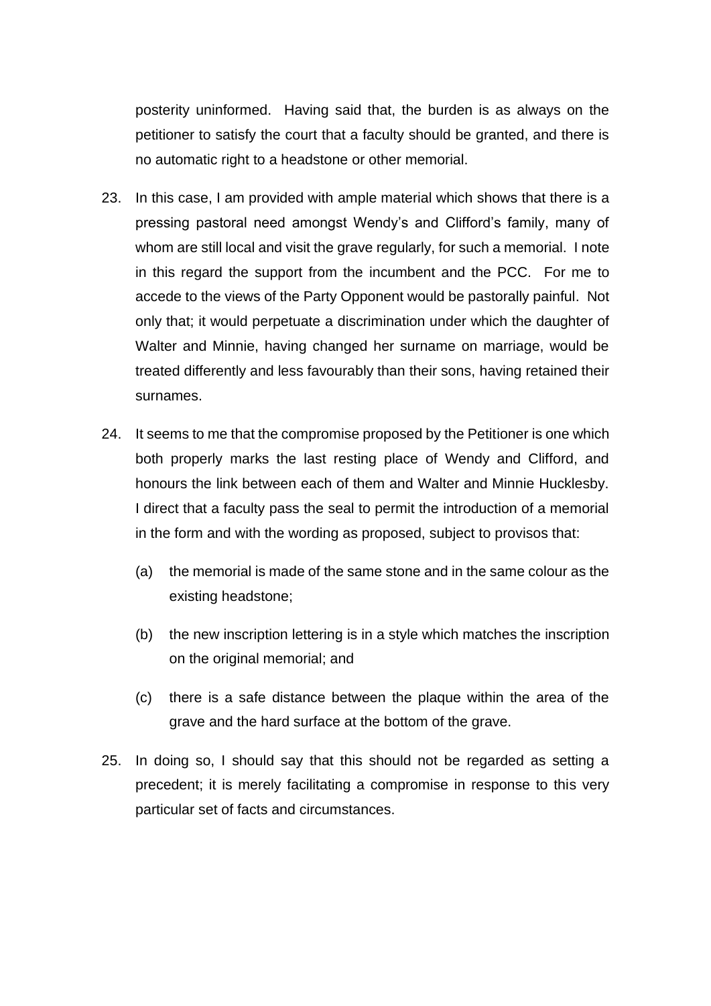posterity uninformed. Having said that, the burden is as always on the petitioner to satisfy the court that a faculty should be granted, and there is no automatic right to a headstone or other memorial.

- 23. In this case, I am provided with ample material which shows that there is a pressing pastoral need amongst Wendy's and Clifford's family, many of whom are still local and visit the grave regularly, for such a memorial. I note in this regard the support from the incumbent and the PCC. For me to accede to the views of the Party Opponent would be pastorally painful. Not only that; it would perpetuate a discrimination under which the daughter of Walter and Minnie, having changed her surname on marriage, would be treated differently and less favourably than their sons, having retained their surnames.
- 24. It seems to me that the compromise proposed by the Petitioner is one which both properly marks the last resting place of Wendy and Clifford, and honours the link between each of them and Walter and Minnie Hucklesby. I direct that a faculty pass the seal to permit the introduction of a memorial in the form and with the wording as proposed, subject to provisos that:
	- (a) the memorial is made of the same stone and in the same colour as the existing headstone;
	- (b) the new inscription lettering is in a style which matches the inscription on the original memorial; and
	- (c) there is a safe distance between the plaque within the area of the grave and the hard surface at the bottom of the grave.
- 25. In doing so, I should say that this should not be regarded as setting a precedent; it is merely facilitating a compromise in response to this very particular set of facts and circumstances.